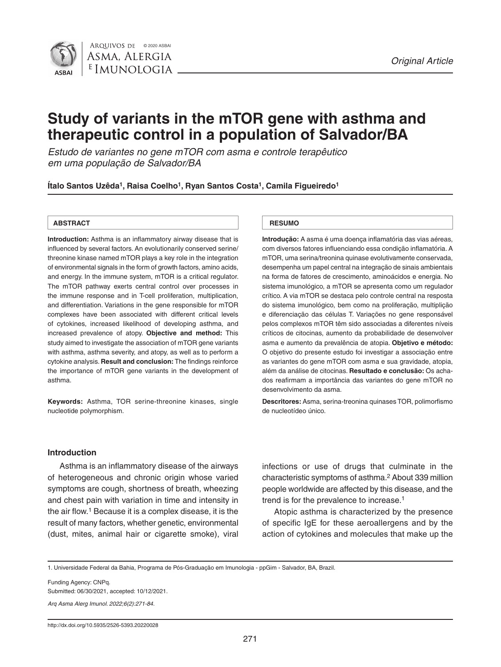

# **Study of variants in the mTOR gene with asthma and therapeutic control in a population of Salvador/BA**

*Estudo de variantes no gene mTOR com asma e controle terapêutico em uma população de Salvador/BA*

**Ítalo Santos Uzêda1, Raisa Coelho1, Ryan Santos Costa1, Camila Figueiredo1**

#### **ABSTRACT RESUMO**

**Introduction:** Asthma is an inflammatory airway disease that is influenced by several factors. An evolutionarily conserved serine/ threonine kinase named mTOR plays a key role in the integration of environmental signals in the form of growth factors, amino acids, and energy. In the immune system, mTOR is a critical regulator. The mTOR pathway exerts central control over processes in the immune response and in T-cell proliferation, multiplication, and differentiation. Variations in the gene responsible for mTOR complexes have been associated with different critical levels of cytokines, increased likelihood of developing asthma, and increased prevalence of atopy. **Objective and method:** This study aimed to investigate the association of mTOR gene variants with asthma, asthma severity, and atopy, as well as to perform a cytokine analysis. **Result and conclusion:** The findings reinforce the importance of mTOR gene variants in the development of asthma.

**Keywords:** Asthma, TOR serine-threonine kinases, single nucleotide polymorphism.

**Introdução:** A asma é uma doença inflamatória das vias aéreas, com diversos fatores influenciando essa condição inflamatória. A mTOR, uma serina/treonina quinase evolutivamente conservada, desempenha um papel central na integração de sinais ambientais na forma de fatores de crescimento, aminoácidos e energia. No sistema imunológico, a mTOR se apresenta como um regulador crítico. A via mTOR se destaca pelo controle central na resposta do sistema imunológico, bem como na proliferação, multiplição e diferenciação das células T. Variações no gene responsável pelos complexos mTOR têm sido associadas a diferentes níveis críticos de citocinas, aumento da probabilidade de desenvolver asma e aumento da prevalência de atopia. **Objetivo e método:**  O objetivo do presente estudo foi investigar a associação entre as variantes do gene mTOR com asma e sua gravidade, atopia, além da análise de citocinas. **Resultado e conclusão:** Os achados reafirmam a importância das variantes do gene mTOR no desenvolvimento da asma.

**Descritores:** Asma, serina-treonina quinases TOR, polimorfismo de nucleotídeo único.

### **Introduction**

Asthma is an inflammatory disease of the airways of heterogeneous and chronic origin whose varied symptoms are cough, shortness of breath, wheezing and chest pain with variation in time and intensity in the air flow.1 Because it is a complex disease, it is the result of many factors, whether genetic, environmental (dust, mites, animal hair or cigarette smoke), viral infections or use of drugs that culminate in the characteristic symptoms of asthma.2 About 339 million people worldwide are affected by this disease, and the trend is for the prevalence to increase.<sup>1</sup>

Atopic asthma is characterized by the presence of specific IgE for these aeroallergens and by the action of cytokines and molecules that make up the

1. Universidade Federal da Bahia, Programa de Pós-Graduação em Imunologia - ppGim - Salvador, BA, Brazil.

Funding Agency: CNPq.

Submitted: 06/30/2021, accepted: 10/12/2021.

*Arq Asma Alerg Imunol. 2022;6(2):271-84.*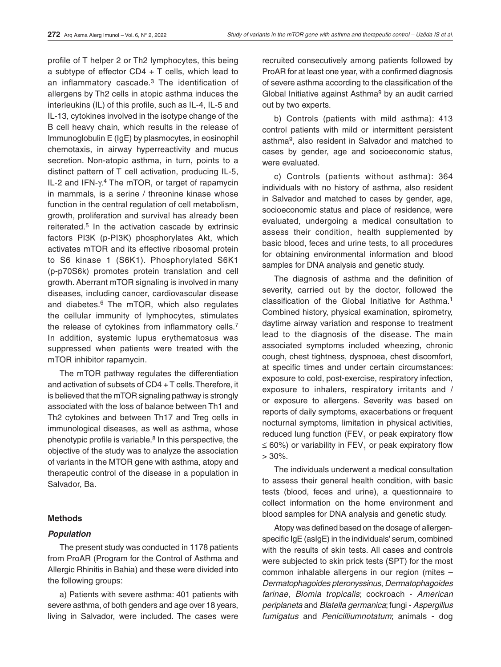profile of T helper 2 or Th2 lymphocytes, this being a subtype of effector  $CD4 + T$  cells, which lead to an inflammatory cascade.3 The identification of allergens by Th2 cells in atopic asthma induces the interleukins (IL) of this profile, such as IL-4, IL-5 and IL-13, cytokines involved in the isotype change of the B cell heavy chain, which results in the release of Immunoglobulin E (IgE) by plasmocytes, in eosinophil chemotaxis, in airway hyperreactivity and mucus secretion. Non-atopic asthma, in turn, points to a distinct pattern of T cell activation, producing IL-5, IL-2 and IFN- $\gamma$ <sup>4</sup>. The mTOR, or target of rapamycin in mammals, is a serine / threonine kinase whose function in the central regulation of cell metabolism. growth, proliferation and survival has already been reiterated.5 In the activation cascade by extrinsic factors PI3K (p-PI3K) phosphorylates Akt, which activates mTOR and its effective ribosomal protein to S6 kinase 1 (S6K1). Phosphorylated S6K1 (p-p70S6k) promotes protein translation and cell growth. Aberrant mTOR signaling is involved in many diseases, including cancer, cardiovascular disease and diabetes.6 The mTOR, which also regulates the cellular immunity of lymphocytes, stimulates the release of cytokines from inflammatory cells.<sup>7</sup> In addition, systemic lupus erythematosus was suppressed when patients were treated with the mTOR inhibitor rapamycin.

The mTOR pathway regulates the differentiation and activation of subsets of CD4 + T cells. Therefore, it is believed that the mTOR signaling pathway is strongly associated with the loss of balance between Th1 and Th2 cytokines and between Th17 and Treg cells in immunological diseases, as well as asthma, whose phenotypic profile is variable. $8$  In this perspective, the objective of the study was to analyze the association of variants in the MTOR gene with asthma, atopy and therapeutic control of the disease in a population in Salvador, Ba.

### **Methods**

### *Population*

The present study was conducted in 1178 patients from ProAR (Program for the Control of Asthma and Allergic Rhinitis in Bahia) and these were divided into the following groups:

a) Patients with severe asthma: 401 patients with severe asthma, of both genders and age over 18 years, living in Salvador, were included. The cases were

recruited consecutively among patients followed by ProAR for at least one year, with a confirmed diagnosis of severe asthma according to the classification of the Global Initiative against Asthma9 by an audit carried out by two experts.

b) Controls (patients with mild asthma): 413 control patients with mild or intermittent persistent asthma9, also resident in Salvador and matched to cases by gender, age and socioeconomic status, were evaluated.

c) Controls (patients without asthma): 364 individuals with no history of asthma, also resident in Salvador and matched to cases by gender, age, socioeconomic status and place of residence, were evaluated, undergoing a medical consultation to assess their condition, health supplemented by basic blood, feces and urine tests, to all procedures for obtaining environmental information and blood samples for DNA analysis and genetic study.

The diagnosis of asthma and the definition of severity, carried out by the doctor, followed the classification of the Global Initiative for Asthma.1 Combined history, physical examination, spirometry, daytime airway variation and response to treatment lead to the diagnosis of the disease. The main associated symptoms included wheezing, chronic cough, chest tightness, dyspnoea, chest discomfort, at specific times and under certain circumstances: exposure to cold, post-exercise, respiratory infection, exposure to inhalers, respiratory irritants and / or exposure to allergens. Severity was based on reports of daily symptoms, exacerbations or frequent nocturnal symptoms, limitation in physical activities, reduced lung function (FEV<sub>1</sub> or peak expiratory flow  $\leq 60\%$ ) or variability in FEV<sub>1</sub> or peak expiratory flow  $> 30\%$ .

The individuals underwent a medical consultation to assess their general health condition, with basic tests (blood, feces and urine), a questionnaire to collect information on the home environment and blood samples for DNA analysis and genetic study.

Atopy was defined based on the dosage of allergenspecific IgE (asIgE) in the individuals' serum, combined with the results of skin tests. All cases and controls were subjected to skin prick tests (SPT) for the most common inhalable allergens in our region (mites – *Dermatophagoides pteronyssinus*, *Dermatophagoides farinae*, *Blomia tropicalis*; cockroach - *American periplaneta* and *Blatella germanica*; fungi - *Aspergillus fumigatus* and *Penicilliumnotatum*; animals - dog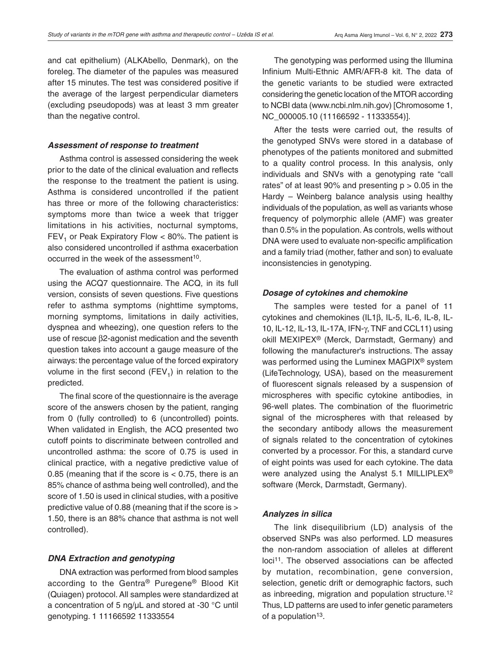and cat epithelium) (ALKAbello, Denmark), on the foreleg. The diameter of the papules was measured after 15 minutes. The test was considered positive if the average of the largest perpendicular diameters (excluding pseudopods) was at least 3 mm greater than the negative control.

#### *Assessment of response to treatment*

Asthma control is assessed considering the week prior to the date of the clinical evaluation and reflects the response to the treatment the patient is using. Asthma is considered uncontrolled if the patient has three or more of the following characteristics: symptoms more than twice a week that trigger limitations in his activities, nocturnal symptoms,  $FEV<sub>1</sub>$  or Peak Expiratory Flow < 80%. The patient is also considered uncontrolled if asthma exacerbation occurred in the week of the assessment<sup>10</sup>.

The evaluation of asthma control was performed using the ACQ7 questionnaire. The ACQ, in its full version, consists of seven questions. Five questions refer to asthma symptoms (nighttime symptoms, morning symptoms, limitations in daily activities, dyspnea and wheezing), one question refers to the use of rescue β2-agonist medication and the seventh question takes into account a gauge measure of the airways: the percentage value of the forced expiratory volume in the first second  $(FEV<sub>1</sub>)$  in relation to the predicted.

The final score of the questionnaire is the average score of the answers chosen by the patient, ranging from 0 (fully controlled) to 6 (uncontrolled) points. When validated in English, the ACQ presented two cutoff points to discriminate between controlled and uncontrolled asthma: the score of 0.75 is used in clinical practice, with a negative predictive value of 0.85 (meaning that if the score is < 0.75, there is an 85% chance of asthma being well controlled), and the score of 1.50 is used in clinical studies, with a positive predictive value of 0.88 (meaning that if the score is > 1.50, there is an 88% chance that asthma is not well controlled).

### *DNA Extraction and genotyping*

DNA extraction was performed from blood samples according to the Gentra® Puregene® Blood Kit (Quiagen) protocol. All samples were standardized at a concentration of 5 ng/μL and stored at -30 °C until genotyping. 1 11166592 11333554

The genotyping was performed using the Illumina Infinium Multi-Ethnic AMR/AFR-8 kit. The data of the genetic variants to be studied were extracted considering the genetic location of the MTOR according to NCBI data (www.ncbi.nlm.nih.gov) [Chromosome 1, NC\_000005.10 (11166592 - 11333554)].

After the tests were carried out, the results of the genotyped SNVs were stored in a database of phenotypes of the patients monitored and submitted to a quality control process. In this analysis, only individuals and SNVs with a genotyping rate "call rates" of at least  $90\%$  and presenting  $p > 0.05$  in the Hardy – Weinberg balance analysis using healthy individuals of the population, as well as variants whose frequency of polymorphic allele (AMF) was greater than 0.5% in the population. As controls, wells without DNA were used to evaluate non-specific amplification and a family triad (mother, father and son) to evaluate inconsistencies in genotyping.

#### *Dosage of cytokines and chemokine*

The samples were tested for a panel of 11 cytokines and chemokines (IL1β, IL-5, IL-6, IL-8, IL-10, IL-12, IL-13, IL-17A, IFN-γ, TNF and CCL11) using okill MEXIPEX® (Merck, Darmstadt, Germany) and following the manufacturer's instructions. The assay was performed using the Luminex MAGPIX® system (LifeTechnology, USA), based on the measurement of fluorescent signals released by a suspension of microspheres with specific cytokine antibodies, in 96-well plates. The combination of the fluorimetric signal of the microspheres with that released by the secondary antibody allows the measurement of signals related to the concentration of cytokines converted by a processor. For this, a standard curve of eight points was used for each cytokine. The data were analyzed using the Analyst 5.1 MILLIPLEX® software (Merck, Darmstadt, Germany).

#### *Analyzes in silica*

The link disequilibrium (LD) analysis of the observed SNPs was also performed. LD measures the non-random association of alleles at different loci<sup>11</sup>. The observed associations can be affected by mutation, recombination, gene conversion, selection, genetic drift or demographic factors, such as inbreeding, migration and population structure.12 Thus, LD patterns are used to infer genetic parameters of a population<sup>13</sup>.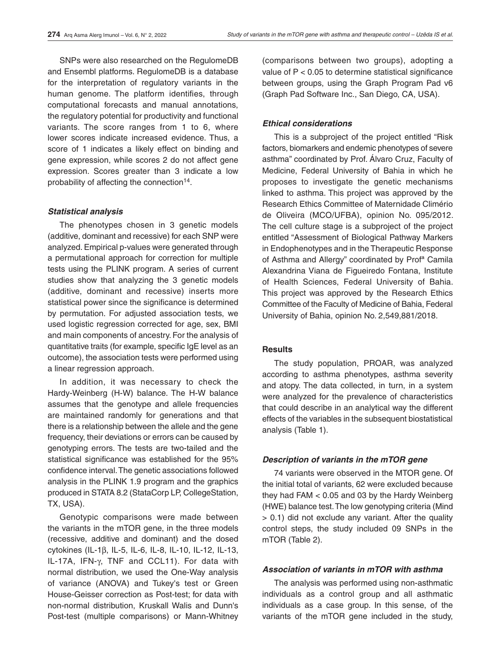SNPs were also researched on the RegulomeDB and Ensembl platforms. RegulomeDB is a database for the interpretation of regulatory variants in the human genome. The platform identifies, through computational forecasts and manual annotations, the regulatory potential for productivity and functional variants. The score ranges from 1 to 6, where lower scores indicate increased evidence. Thus, a score of 1 indicates a likely effect on binding and gene expression, while scores 2 do not affect gene expression. Scores greater than 3 indicate a low probability of affecting the connection<sup>14</sup>.

### *Statistical analysis*

The phenotypes chosen in 3 genetic models (additive, dominant and recessive) for each SNP were analyzed. Empirical p-values were generated through a permutational approach for correction for multiple tests using the PLINK program. A series of current studies show that analyzing the 3 genetic models (additive, dominant and recessive) inserts more statistical power since the significance is determined by permutation. For adjusted association tests, we used logistic regression corrected for age, sex, BMI and main components of ancestry. For the analysis of quantitative traits (for example, specific IgE level as an outcome), the association tests were performed using a linear regression approach.

In addition, it was necessary to check the Hardy-Weinberg (H-W) balance. The H-W balance assumes that the genotype and allele frequencies are maintained randomly for generations and that there is a relationship between the allele and the gene frequency, their deviations or errors can be caused by genotyping errors. The tests are two-tailed and the statistical significance was established for the 95% confidence interval. The genetic associations followed analysis in the PLINK 1.9 program and the graphics produced in STATA 8.2 (StataCorp LP, CollegeStation, TX, USA).

Genotypic comparisons were made between the variants in the mTOR gene, in the three models (recessive, additive and dominant) and the dosed cytokines (IL-1β, IL-5, IL-6, IL-8, IL-10, IL-12, IL-13, IL-17A, IFN-γ, TNF and CCL11). For data with normal distribution, we used the One-Way analysis of variance (ANOVA) and Tukey's test or Green House-Geisser correction as Post-test; for data with non-normal distribution, Kruskall Walis and Dunn's Post-test (multiple comparisons) or Mann-Whitney (comparisons between two groups), adopting a value of P < 0.05 to determine statistical significance between groups, using the Graph Program Pad v6 (Graph Pad Software Inc., San Diego, CA, USA).

### *Ethical considerations*

This is a subproject of the project entitled "Risk factors, biomarkers and endemic phenotypes of severe asthma" coordinated by Prof. Álvaro Cruz, Faculty of Medicine, Federal University of Bahia in which he proposes to investigate the genetic mechanisms linked to asthma. This project was approved by the Research Ethics Committee of Maternidade Climério de Oliveira (MCO/UFBA), opinion No. 095/2012. The cell culture stage is a subproject of the project entitled "Assessment of Biological Pathway Markers in Endophenotypes and in the Therapeutic Response of Asthma and Allergy" coordinated by Profª Camila Alexandrina Viana de Figueiredo Fontana, Institute of Health Sciences, Federal University of Bahia. This project was approved by the Research Ethics Committee of the Faculty of Medicine of Bahia, Federal University of Bahia, opinion No. 2,549,881/2018.

### **Results**

The study population, PROAR, was analyzed according to asthma phenotypes, asthma severity and atopy. The data collected, in turn, in a system were analyzed for the prevalence of characteristics that could describe in an analytical way the different effects of the variables in the subsequent biostatistical analysis (Table 1).

### *Description of variants in the mTOR gene*

74 variants were observed in the MTOR gene. Of the initial total of variants, 62 were excluded because they had FAM < 0.05 and 03 by the Hardy Weinberg (HWE) balance test. The low genotyping criteria (Mind > 0.1) did not exclude any variant. After the quality control steps, the study included 09 SNPs in the mTOR (Table 2).

### *Association of variants in mTOR with asthma*

The analysis was performed using non-asthmatic individuals as a control group and all asthmatic individuals as a case group. In this sense, of the variants of the mTOR gene included in the study,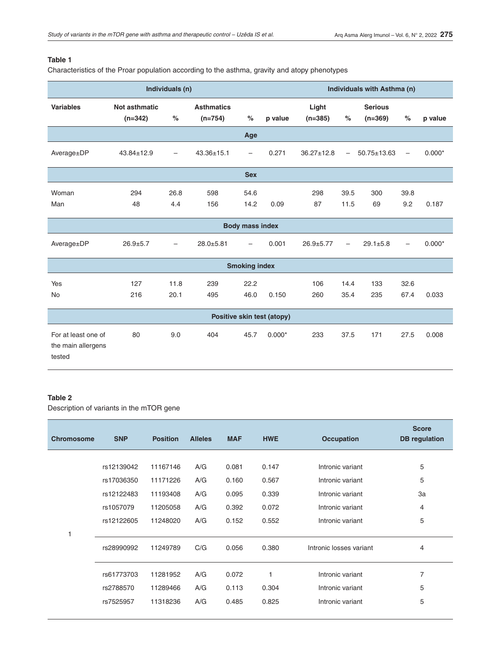### **Table 1**

Characteristics of the Proar population according to the asthma, gravity and atopy phenotypes

|                                                     | Individuals (n)            |                                     |                  |                          |                               |                  |                          | Individuals with Asthma (n) |                          |          |  |  |
|-----------------------------------------------------|----------------------------|-------------------------------------|------------------|--------------------------|-------------------------------|------------------|--------------------------|-----------------------------|--------------------------|----------|--|--|
| <b>Variables</b>                                    | Not asthmatic<br>$(n=342)$ | <b>Asthmatics</b><br>%<br>$(n=754)$ |                  | $\%$                     | Light<br>p value<br>$(n=385)$ |                  | $\%$                     | <b>Serious</b><br>$(n=369)$ | %                        | p value  |  |  |
|                                                     |                            |                                     |                  | Age                      |                               |                  |                          |                             |                          |          |  |  |
| Average±DP                                          | $43.84 \pm 12.9$           | $\overline{\phantom{0}}$            | $43.36 \pm 15.1$ | $\overline{\phantom{0}}$ | 0.271                         | $36.27 \pm 12.8$ | $\overline{\phantom{0}}$ | $50.75 \pm 13.63$           | $\overline{\phantom{0}}$ | $0.000*$ |  |  |
|                                                     |                            |                                     |                  | <b>Sex</b>               |                               |                  |                          |                             |                          |          |  |  |
| Woman<br>Man                                        | 294<br>48                  | 26.8<br>4.4                         | 598<br>156       | 54.6<br>14.2             | 0.09                          | 298<br>87        | 39.5<br>11.5             | 300<br>69                   | 39.8<br>9.2              | 0.187    |  |  |
|                                                     |                            |                                     |                  | <b>Body mass index</b>   |                               |                  |                          |                             |                          |          |  |  |
| Average±DP                                          | $26.9 + 5.7$               | $\overline{\phantom{0}}$            | $28.0 + 5.81$    |                          | 0.001                         | $26.9 + 5.77$    | $\overline{\phantom{0}}$ | $29.1 \pm 5.8$              | $\overline{\phantom{0}}$ | $0.000*$ |  |  |
|                                                     |                            |                                     |                  | <b>Smoking index</b>     |                               |                  |                          |                             |                          |          |  |  |
| Yes<br><b>No</b>                                    | 127<br>216                 | 11.8<br>20.1                        | 239<br>495       | 22.2<br>46.0             | 0.150                         | 106<br>260       | 14.4<br>35.4             | 133<br>235                  | 32.6<br>67.4             | 0.033    |  |  |
| Positive skin test (atopy)                          |                            |                                     |                  |                          |                               |                  |                          |                             |                          |          |  |  |
| For at least one of<br>the main allergens<br>tested | 80                         | 9.0                                 | 404              | 45.7                     | $0.000*$                      | 233              | 37.5                     | 171                         | 27.5                     | 0.008    |  |  |

### **Table 2**

Description of variants in the mTOR gene

| <b>Chromosome</b> | <b>SNP</b> | <b>Position</b> | <b>Alleles</b> | <b>MAF</b> | <b>HWE</b> | <b>Occupation</b>       | <b>Score</b><br><b>DB</b> regulation |
|-------------------|------------|-----------------|----------------|------------|------------|-------------------------|--------------------------------------|
|                   |            |                 |                |            |            |                         |                                      |
|                   | rs12139042 | 11167146        | A/G            | 0.081      | 0.147      | Intronic variant        | 5                                    |
|                   | rs17036350 | 11171226        | A/G            | 0.160      | 0.567      | Intronic variant        | 5                                    |
|                   | rs12122483 | 11193408        | A/G            | 0.095      | 0.339      | Intronic variant        | 3a                                   |
|                   | rs1057079  | 11205058        | A/G            | 0.392      | 0.072      | Intronic variant        | 4                                    |
|                   | rs12122605 | 11248020        | A/G            | 0.152      | 0.552      | Intronic variant        | 5                                    |
| 1                 |            |                 |                |            |            |                         |                                      |
|                   | rs28990992 | 11249789        | C/G            | 0.056      | 0.380      | Intronic losses variant | 4                                    |
|                   | rs61773703 | 11281952        | A/G            | 0.072      |            | Intronic variant        | 7                                    |
|                   | rs2788570  | 11289466        | A/G            | 0.113      | 0.304      | Intronic variant        | 5                                    |
|                   | rs7525957  | 11318236        | A/G            | 0.485      | 0.825      | Intronic variant        | 5                                    |
|                   |            |                 |                |            |            |                         |                                      |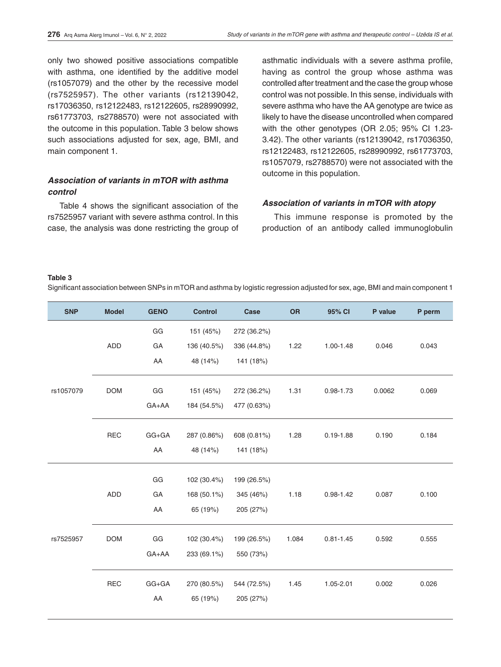only two showed positive associations compatible with asthma, one identified by the additive model (rs1057079) and the other by the recessive model (rs7525957). The other variants (rs12139042, rs17036350, rs12122483, rs12122605, rs28990992, rs61773703, rs2788570) were not associated with the outcome in this population. Table 3 below shows such associations adjusted for sex, age, BMI, and main component 1.

# *Association of variants in mTOR with asthma control*

Table 4 shows the significant association of the rs7525957 variant with severe asthma control. In this case, the analysis was done restricting the group of asthmatic individuals with a severe asthma profile, having as control the group whose asthma was controlled after treatment and the case the group whose control was not possible. In this sense, individuals with severe asthma who have the AA genotype are twice as likely to have the disease uncontrolled when compared with the other genotypes (OR 2.05; 95% CI 1.23- 3.42). The other variants (rs12139042, rs17036350, rs12122483, rs12122605, rs28990992, rs61773703, rs1057079, rs2788570) were not associated with the outcome in this population.

#### *Association of variants in mTOR with atopy*

This immune response is promoted by the production of an antibody called immunoglobulin

#### **Table 3**

Significant association between SNPs in mTOR and asthma by logistic regression adjusted for sex, age, BMI and main component 1

| <b>SNP</b> | <b>Model</b> | <b>GENO</b> | <b>Control</b> | Case        | <b>OR</b> | 95% CI        | P value | P perm |
|------------|--------------|-------------|----------------|-------------|-----------|---------------|---------|--------|
| rs1057079  |              | GG          | 151 (45%)      | 272 (36.2%) |           |               |         |        |
|            | <b>ADD</b>   | GA          | 136 (40.5%)    | 336 (44.8%) | 1.22      | 1.00-1.48     | 0.046   | 0.043  |
|            |              | AA          | 48 (14%)       | 141 (18%)   |           |               |         |        |
|            | <b>DOM</b>   | GG          | 151 (45%)      | 272 (36.2%) | 1.31      | $0.98 - 1.73$ | 0.0062  | 0.069  |
|            |              | GA+AA       | 184 (54.5%)    | 477 (0.63%) |           |               |         |        |
|            | <b>REC</b>   | $GG + GA$   | 287 (0.86%)    | 608 (0.81%) | 1.28      | $0.19 - 1.88$ | 0.190   | 0.184  |
|            |              | AA          | 48 (14%)       | 141 (18%)   |           |               |         |        |
|            |              | GG          | 102 (30.4%)    | 199 (26.5%) |           |               |         |        |
|            | <b>ADD</b>   | GA          | 168 (50.1%)    | 345 (46%)   | 1.18      | $0.98 - 1.42$ | 0.087   | 0.100  |
| rs7525957  |              | AA          | 65 (19%)       | 205 (27%)   |           |               |         |        |
|            |              |             |                |             |           |               |         |        |
|            | <b>DOM</b>   | GG          | 102 (30.4%)    | 199 (26.5%) | 1.084     | $0.81 - 1.45$ | 0.592   | 0.555  |
|            |              | GA+AA       | 233 (69.1%)    | 550 (73%)   |           |               |         |        |
|            | <b>REC</b>   | $GG + GA$   | 270 (80.5%)    | 544 (72.5%) | 1.45      | 1.05-2.01     | 0.002   | 0.026  |
|            |              | AA          | 65 (19%)       | 205 (27%)   |           |               |         |        |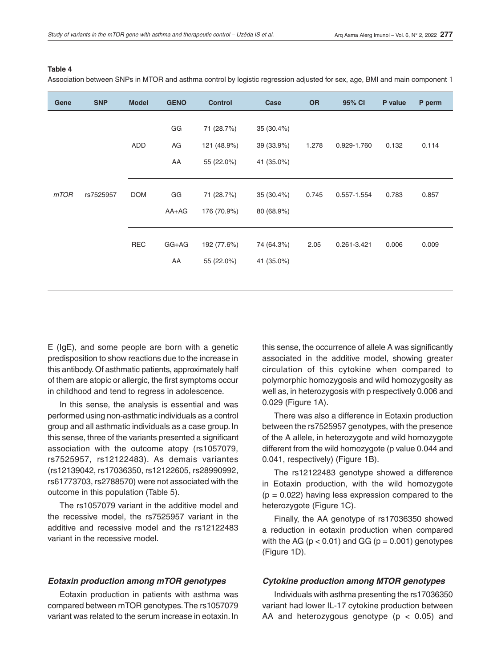#### **Table 4**

Association between SNPs in MTOR and asthma control by logistic regression adjusted for sex, age, BMI and main component 1

| Gene | <b>SNP</b> | <b>Model</b> | <b>GENO</b>    | <b>Control</b>                          | Case                                  | <b>OR</b> | 95% CI      | P value | P perm |
|------|------------|--------------|----------------|-----------------------------------------|---------------------------------------|-----------|-------------|---------|--------|
|      |            | ADD          | GG<br>AG<br>AA | 71 (28.7%)<br>121 (48.9%)<br>55 (22.0%) | 35(30.4%)<br>39 (33.9%)<br>41 (35.0%) | 1.278     | 0.929-1.760 | 0.132   | 0.114  |
| mTOR | rs7525957  | <b>DOM</b>   | GG<br>$AA+AG$  | 71 (28.7%)<br>176 (70.9%)               | 35 (30.4%)<br>80 (68.9%)              | 0.745     | 0.557-1.554 | 0.783   | 0.857  |
|      |            | <b>REC</b>   | GG+AG<br>AA    | 192 (77.6%)<br>55 (22.0%)               | 74 (64.3%)<br>41 (35.0%)              | 2.05      | 0.261-3.421 | 0.006   | 0.009  |

E (IgE), and some people are born with a genetic predisposition to show reactions due to the increase in this antibody. Of asthmatic patients, approximately half of them are atopic or allergic, the first symptoms occur in childhood and tend to regress in adolescence.

In this sense, the analysis is essential and was performed using non-asthmatic individuals as a control group and all asthmatic individuals as a case group. In this sense, three of the variants presented a significant association with the outcome atopy (rs1057079, rs7525957, rs12122483). As demais variantes (rs12139042, rs17036350, rs12122605, rs28990992, rs61773703, rs2788570) were not associated with the outcome in this population (Table 5).

The rs1057079 variant in the additive model and the recessive model, the rs7525957 variant in the additive and recessive model and the rs12122483 variant in the recessive model.

this sense, the occurrence of allele A was significantly associated in the additive model, showing greater circulation of this cytokine when compared to polymorphic homozygosis and wild homozygosity as well as, in heterozygosis with p respectively 0.006 and 0.029 (Figure 1A).

There was also a difference in Eotaxin production between the rs7525957 genotypes, with the presence of the A allele, in heterozygote and wild homozygote different from the wild homozygote (p value 0.044 and 0.041, respectively) (Figure 1B).

The rs12122483 genotype showed a difference in Eotaxin production, with the wild homozygote  $(p = 0.022)$  having less expression compared to the heterozygote (Figure 1C).

Finally, the AA genotype of rs17036350 showed a reduction in eotaxin production when compared with the AG ( $p < 0.01$ ) and GG ( $p = 0.001$ ) genotypes (Figure 1D).

### *Eotaxin production among mTOR genotypes*

Eotaxin production in patients with asthma was compared between mTOR genotypes. The rs1057079 variant was related to the serum increase in eotaxin. In

### *Cytokine production among MTOR genotypes*

Individuals with asthma presenting the rs17036350 variant had lower IL-17 cytokine production between AA and heterozygous genotype ( $p < 0.05$ ) and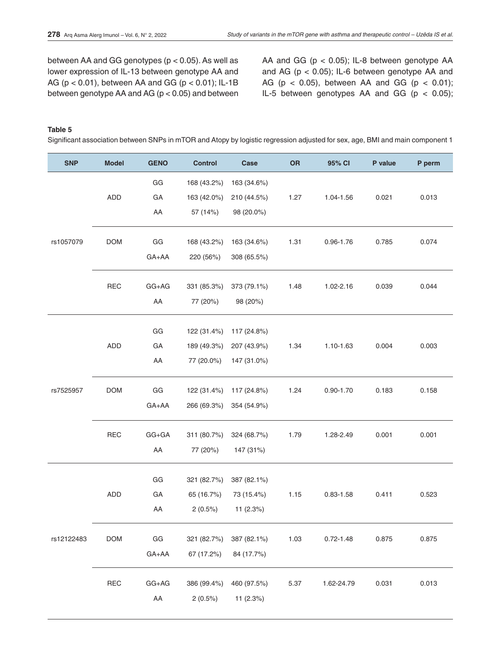between AA and GG genotypes (p < 0.05). As well as lower expression of IL-13 between genotype AA and AG (p < 0.01), between AA and GG (p < 0.01); IL-1B between genotype AA and AG (p < 0.05) and between AA and GG (p < 0.05); IL-8 between genotype AA and AG ( $p < 0.05$ ); IL-6 between genotype AA and AG ( $p < 0.05$ ), between AA and GG ( $p < 0.01$ ); IL-5 between genotypes AA and GG ( $p < 0.05$ );

**Table 5**

Significant association between SNPs in mTOR and Atopy by logistic regression adjusted for sex, age, BMI and main component 1

| <b>SNP</b> | <b>Model</b> | <b>GENO</b>            | <b>Control</b>             | Case                       | <b>OR</b> | 95% CI        | P value | P perm |
|------------|--------------|------------------------|----------------------------|----------------------------|-----------|---------------|---------|--------|
|            |              | GG                     | 168 (43.2%)                | 163 (34.6%)                |           |               |         |        |
|            | <b>ADD</b>   | GA                     | 163 (42.0%)                | 210 (44.5%)                | 1.27      | 1.04-1.56     | 0.021   | 0.013  |
|            |              | AA                     | 57 (14%)                   | 98 (20.0%)                 |           |               |         |        |
| rs1057079  | <b>DOM</b>   | GG                     | 168 (43.2%)                | 163 (34.6%)                | 1.31      | $0.96 - 1.76$ | 0.785   | 0.074  |
|            |              | GA+AA                  | 220 (56%)                  | 308 (65.5%)                |           |               |         |        |
|            | <b>REC</b>   | $GG+AG$                | 331 (85.3%)                | 373 (79.1%)                | 1.48      | 1.02-2.16     | 0.039   | 0.044  |
|            |              | AA                     | 77 (20%)                   | 98 (20%)                   |           |               |         |        |
|            |              |                        |                            |                            |           |               |         |        |
| rs7525957  | <b>ADD</b>   | GG<br>GA               | 122 (31.4%)<br>189 (49.3%) | 117 (24.8%)<br>207 (43.9%) | 1.34      | 1.10-1.63     | 0.004   | 0.003  |
|            |              | AA                     | 77 (20.0%)                 | 147 (31.0%)                |           |               |         |        |
|            |              |                        |                            |                            |           |               |         |        |
|            | <b>DOM</b>   | $\mathsf{G}\mathsf{G}$ | 122 (31.4%)                | 117 (24.8%)                | 1.24      | $0.90 - 1.70$ | 0.183   | 0.158  |
|            |              | GA+AA                  | 266 (69.3%)                | 354 (54.9%)                |           |               |         |        |
|            | <b>REC</b>   | $GG + GA$              | 311 (80.7%)                | 324 (68.7%)                | 1.79      | 1.28-2.49     | 0.001   | 0.001  |
|            |              | AA                     | 77 (20%)                   | 147 (31%)                  |           |               |         |        |
|            |              | GG                     | 321 (82.7%)                | 387 (82.1%)                |           |               |         |        |
|            | <b>ADD</b>   | GA                     | 65 (16.7%)                 | 73 (15.4%)                 | 1.15      | $0.83 - 1.58$ | 0.411   | 0.523  |
| rs12122483 |              | AA                     | $2(0.5\%)$                 | 11 $(2.3%)$                |           |               |         |        |
|            |              |                        |                            |                            |           |               |         |        |
|            | <b>DOM</b>   | GG                     | 321 (82.7%)                | 387 (82.1%)                | 1.03      | $0.72 - 1.48$ | 0.875   | 0.875  |
|            |              | GA+AA                  | 67 (17.2%)                 | 84 (17.7%)                 |           |               |         |        |
|            | REC          | $GG+AG$                | 386 (99.4%)                | 460 (97.5%)                | 5.37      | 1.62-24.79    | 0.031   | 0.013  |
|            |              | AA                     | 2(0.5%)                    | 11 (2.3%)                  |           |               |         |        |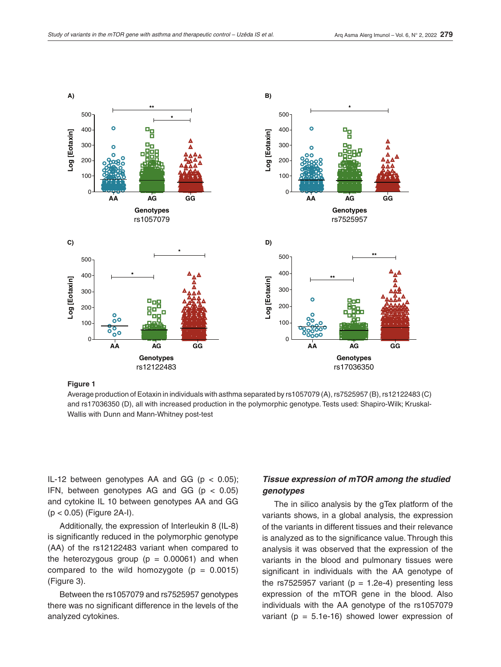

**Figure 1**

Average production of Eotaxin in individuals with asthma separated by rs1057079 (A), rs7525957 (B), rs12122483 (C) and rs17036350 (D), all with increased production in the polymorphic genotype. Tests used: Shapiro-Wilk; Kruskal-Wallis with Dunn and Mann-Whitney post-test

IL-12 between genotypes AA and GG ( $p < 0.05$ ); IFN, between genotypes AG and GG  $(p < 0.05)$ and cytokine IL 10 between genotypes AA and GG (p < 0.05) (Figure 2A-I).

Additionally, the expression of Interleukin 8 (IL-8) is significantly reduced in the polymorphic genotype (AA) of the rs12122483 variant when compared to the heterozygous group ( $p = 0.00061$ ) and when compared to the wild homozygote  $(p = 0.0015)$ (Figure 3).

Between the rs1057079 and rs7525957 genotypes there was no significant difference in the levels of the analyzed cytokines.

# *Tissue expression of mTOR among the studied genotypes*

The in silico analysis by the gTex platform of the variants shows, in a global analysis, the expression of the variants in different tissues and their relevance is analyzed as to the significance value. Through this analysis it was observed that the expression of the variants in the blood and pulmonary tissues were significant in individuals with the AA genotype of the rs7525957 variant ( $p = 1.2e-4$ ) presenting less expression of the mTOR gene in the blood. Also individuals with the AA genotype of the rs1057079 variant ( $p = 5.1e-16$ ) showed lower expression of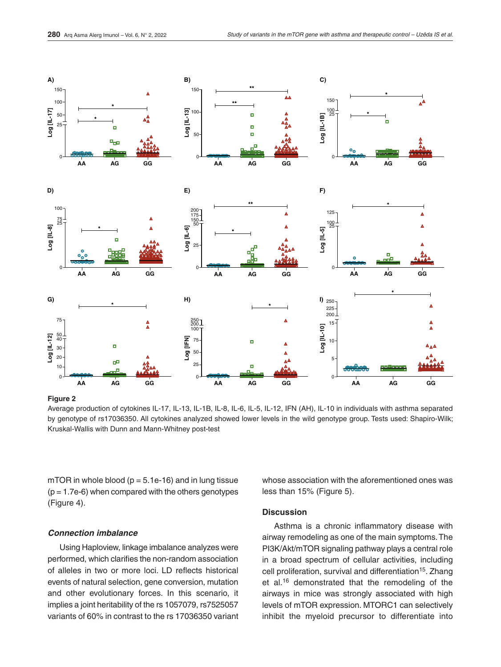

#### **Figure 2**

Average production of cytokines IL-17, IL-13, IL-1B, IL-8, IL-6, IL-5, IL-12, IFN (AH), IL-10 in individuals with asthma separated by genotype of rs17036350. All cytokines analyzed showed lower levels in the wild genotype group. Tests used: Shapiro-Wilk; Kruskal-Wallis with Dunn and Mann-Whitney post-test

mTOR in whole blood ( $p = 5.1e-16$ ) and in lung tissue  $(p = 1.7e-6)$  when compared with the others genotypes (Figure 4).

#### *Connection imbalance*

Using Haploview, linkage imbalance analyzes were performed, which clarifies the non-random association of alleles in two or more loci. LD reflects historical events of natural selection, gene conversion, mutation and other evolutionary forces. In this scenario, it implies a joint heritability of the rs 1057079, rs7525057 variants of 60% in contrast to the rs 17036350 variant whose association with the aforementioned ones was less than 15% (Figure 5).

### **Discussion**

Asthma is a chronic inflammatory disease with airway remodeling as one of the main symptoms. The PI3K/Akt/mTOR signaling pathway plays a central role in a broad spectrum of cellular activities, including cell proliferation, survival and differentiation<sup>15</sup>. Zhang et al.16 demonstrated that the remodeling of the airways in mice was strongly associated with high levels of mTOR expression. MTORC1 can selectively inhibit the myeloid precursor to differentiate into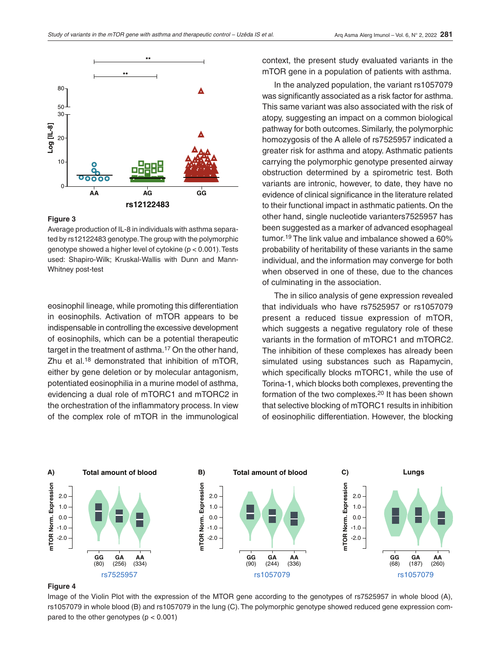

#### **Figure 3**

Average production of IL-8 in individuals with asthma separated by rs12122483 genotype. The group with the polymorphic genotype showed a higher level of cytokine (p < 0.001). Tests used: Shapiro-Wilk; Kruskal-Wallis with Dunn and Mann-Whitney post-test

eosinophil lineage, while promoting this differentiation in eosinophils. Activation of mTOR appears to be indispensable in controlling the excessive development of eosinophils, which can be a potential therapeutic target in the treatment of asthma.<sup>17</sup> On the other hand, Zhu et al.<sup>18</sup> demonstrated that inhibition of mTOR. either by gene deletion or by molecular antagonism, potentiated eosinophilia in a murine model of asthma, evidencing a dual role of mTORC1 and mTORC2 in the orchestration of the inflammatory process. In view of the complex role of mTOR in the immunological

context, the present study evaluated variants in the mTOR gene in a population of patients with asthma.

In the analyzed population, the variant rs1057079 was significantly associated as a risk factor for asthma. This same variant was also associated with the risk of atopy, suggesting an impact on a common biological pathway for both outcomes. Similarly, the polymorphic homozygosis of the A allele of rs7525957 indicated a greater risk for asthma and atopy. Asthmatic patients carrying the polymorphic genotype presented airway obstruction determined by a spirometric test. Both variants are intronic, however, to date, they have no evidence of clinical significance in the literature related to their functional impact in asthmatic patients. On the other hand, single nucleotide varianters7525957 has been suggested as a marker of advanced esophageal tumor.19 The link value and imbalance showed a 60% probability of heritability of these variants in the same individual, and the information may converge for both when observed in one of these, due to the chances of culminating in the association.

The in silico analysis of gene expression revealed that individuals who have rs7525957 or rs1057079 present a reduced tissue expression of mTOR, which suggests a negative regulatory role of these variants in the formation of mTORC1 and mTORC2. The inhibition of these complexes has already been simulated using substances such as Rapamycin, which specifically blocks mTORC1, while the use of Torina-1, which blocks both complexes, preventing the formation of the two complexes.20 It has been shown that selective blocking of mTORC1 results in inhibition of eosinophilic differentiation. However, the blocking



#### **Figure 4**

Image of the Violin Plot with the expression of the MTOR gene according to the genotypes of rs7525957 in whole blood (A), rs1057079 in whole blood (B) and rs1057079 in the lung (C). The polymorphic genotype showed reduced gene expression compared to the other genotypes  $(p < 0.001)$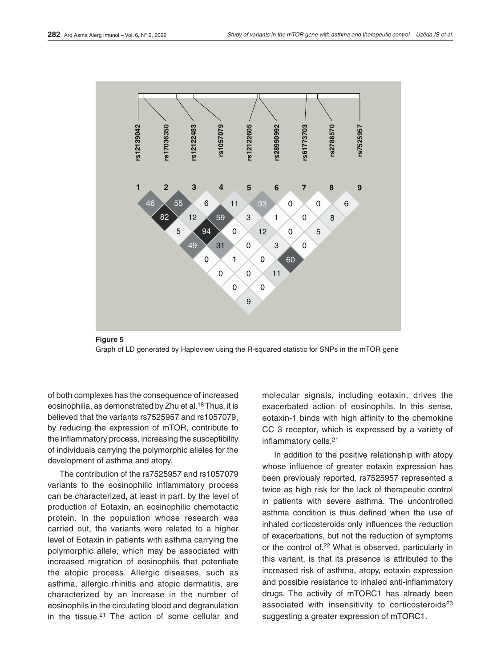



of both complexes has the consequence of increased eosinophilia, as demonstrated by Zhu et al.18 Thus, it is believed that the variants rs7525957 and rs1057079, by reducing the expression of mTOR, contribute to the inflammatory process, increasing the susceptibility of individuals carrying the polymorphic alleles for the development of asthma and atopy.

The contribution of the rs7525957 and rs1057079 variants to the eosinophilic inflammatory process can be characterized, at least in part, by the level of production of Eotaxin, an eosinophilic chemotactic protein. In the population whose research was carried out, the variants were related to a higher level of Eotaxin in patients with asthma carrying the polymorphic allele, which may be associated with increased migration of eosinophils that potentiate the atopic process. Allergic diseases, such as asthma, allergic rhinitis and atopic dermatitis, are characterized by an increase in the number of eosinophils in the circulating blood and degranulation in the tissue.<sup>21</sup> The action of some cellular and molecular signals, including eotaxin, drives the exacerbated action of eosinophils. In this sense, eotaxin-1 binds with high affinity to the chemokine CC 3 receptor, which is expressed by a variety of inflammatory cells.21

In addition to the positive relationship with atopy whose influence of greater eotaxin expression has been previously reported, rs7525957 represented a twice as high risk for the lack of therapeutic control in patients with severe asthma. The uncontrolled asthma condition is thus defined when the use of inhaled corticosteroids only influences the reduction of exacerbations, but not the reduction of symptoms or the control of.22 What is observed, particularly in this variant, is that its presence is attributed to the increased risk of asthma, atopy, eotaxin expression and possible resistance to inhaled anti-inflammatory drugs. The activity of mTORC1 has already been associated with insensitivity to corticosteroids<sup>23</sup> suggesting a greater expression of mTORC1.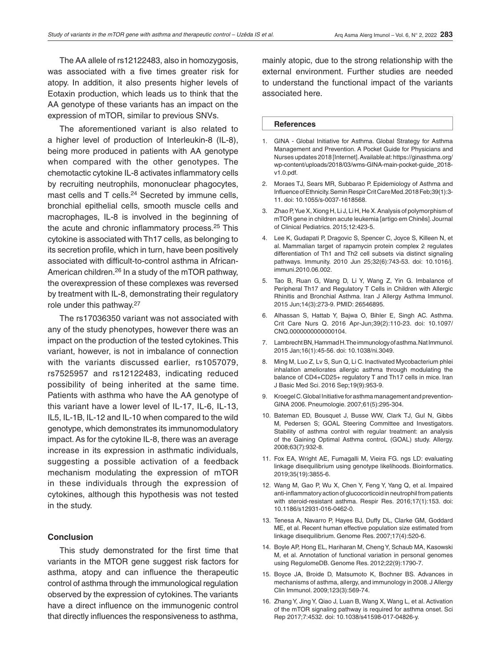The AA allele of rs12122483, also in homozygosis, was associated with a five times greater risk for atopy. In addition, it also presents higher levels of Eotaxin production, which leads us to think that the AA genotype of these variants has an impact on the expression of mTOR, similar to previous SNVs.

The aforementioned variant is also related to a higher level of production of Interleukin-8 (IL-8), being more produced in patients with AA genotype when compared with the other genotypes. The chemotactic cytokine IL-8 activates inflammatory cells by recruiting neutrophils, mononuclear phagocytes, mast cells and T cells.<sup>24</sup> Secreted by immune cells, bronchial epithelial cells, smooth muscle cells and macrophages, IL-8 is involved in the beginning of the acute and chronic inflammatory process.25 This cytokine is associated with Th17 cells, as belonging to its secretion profile, which in turn, have been positively associated with difficult-to-control asthma in African-American children.26 In a study of the mTOR pathway, the overexpression of these complexes was reversed by treatment with IL-8, demonstrating their regulatory role under this pathway.<sup>27</sup>

The rs17036350 variant was not associated with any of the study phenotypes, however there was an impact on the production of the tested cytokines. This variant, however, is not in imbalance of connection with the variants discussed earlier, rs1057079, rs7525957 and rs12122483, indicating reduced possibility of being inherited at the same time. Patients with asthma who have the AA genotype of this variant have a lower level of IL-17, IL-6, IL-13, IL5, IL-1B, IL-12 and IL-10 when compared to the wild genotype, which demonstrates its immunomodulatory impact. As for the cytokine IL-8, there was an average increase in its expression in asthmatic individuals, suggesting a possible activation of a feedback mechanism modulating the expression of mTOR in these individuals through the expression of cytokines, although this hypothesis was not tested in the study.

### **Conclusion**

This study demonstrated for the first time that variants in the MTOR gene suggest risk factors for asthma, atopy and can influence the therapeutic control of asthma through the immunological regulation observed by the expression of cytokines. The variants have a direct influence on the immunogenic control that directly influences the responsiveness to asthma,

mainly atopic, due to the strong relationship with the external environment. Further studies are needed to understand the functional impact of the variants associated here.

#### **References**

- 1. GINA Global Initiative for Asthma. Global Strategy for Asthma Management and Prevention. A Pocket Guide for Physicians and Nurses updates 2018 [Internet]. Available at: https://ginasthma.org/ wp-content/uploads/2018/03/wms-GINA-main-pocket-guide\_2018 v1.0.pdf.
- 2. Moraes TJ, Sears MR, Subbarao P. Epidemiology of Asthma and Influence of Ethnicity. Semin Respir Crit Care Med. 2018 Feb;39(1):3- 11. doi: 10.1055/s-0037-1618568.
- 3. Zhao P, Yue X, Xiong H, Li J, Li H, He X. Analysis of polymorphism of mTOR gene in children acute leukemia [artigo em Chinês]. Journal of Clinical Pediatrics. 2015;12:423-5.
- 4. Lee K, Gudapati P, Dragovic S, Spencer C, Joyce S, Killeen N, et al. Mammalian target of rapamycin protein complex 2 regulates differentiation of Th1 and Th2 cell subsets via distinct signaling pathways. Immunity. 2010 Jun 25;32(6):743-53. doi: 10.1016/j. immuni.2010.06.002.
- 5. Tao B, Ruan G, Wang D, Li Y, Wang Z, Yin G. Imbalance of Peripheral Th17 and Regulatory T Cells in Children with Allergic Rhinitis and Bronchial Asthma. Iran J Allergy Asthma Immunol. 2015 Jun;14(3):273-9. PMID: 26546895.
- 6. Alhassan S, Hattab Y, Bajwa O, Bihler E, Singh AC. Asthma. Crit Care Nurs Q. 2016 Apr-Jun;39(2):110-23. doi: 10.1097/ CNQ.0000000000000104.
- 7. Lambrecht BN, Hammad H. The immunology of asthma. Nat Immunol. 2015 Jan;16(1):45-56. doi: 10.1038/ni.3049.
- 8. Ming M, Luo Z, Lv S, Sun Q, Li C. Inactivated Mycobacterium phlei inhalation ameliorates allergic asthma through modulating the balance of CD4+CD25+ regulatory T and Th17 cells in mice. Iran J Basic Med Sci. 2016 Sep;19(9):953-9.
- 9. Kroegel C. Global Initiative for asthma management and prevention-GINA 2006. Pneumologie. 2007;61(5):295-304.
- 10. Bateman ED, Bousquet J, Busse WW, Clark TJ, Gul N, Gibbs M, Pedersen S; GOAL Steering Committee and Investigators. Stability of asthma control with regular treatment: an analysis of the Gaining Optimal Asthma controL (GOAL) study. Allergy. 2008;63(7):932-8.
- 11. Fox EA, Wright AE, Fumagalli M, Vieira FG. ngs LD: evaluating linkage disequilibrium using genotype likelihoods. Bioinformatics. 2019;35(19):3855-6.
- 12. Wang M, Gao P, Wu X, Chen Y, Feng Y, Yang Q, et al. Impaired anti-inflammatory action of glucocorticoid in neutrophil from patients with steroid-resistant asthma. Respir Res. 2016;17(1):153. doi: 10.1186/s12931-016-0462-0.
- 13. Tenesa A, Navarro P, Hayes BJ, Duffy DL, Clarke GM, Goddard ME, et al. Recent human effective population size estimated from linkage disequilibrium. Genome Res. 2007;17(4):520-6.
- 14. Boyle AP, Hong EL, Hariharan M, Cheng Y, Schaub MA, Kasowski M, et al. Annotation of functional variation in personal genomes using RegulomeDB. Genome Res. 2012;22(9):1790-7.
- 15. Boyce JA, Broide D, Matsumoto K, Bochner BS. Advances in mechanisms of asthma, allergy, and immunology in 2008. J Allergy Clin Immunol. 2009;123(3):569-74.
- 16. Zhang Y, Jing Y, Qiao J, Luan B, Wang X, Wang L, et al. Activation of the mTOR signaling pathway is required for asthma onset. Sci Rep 2017;7:4532. doi: 10.1038/s41598-017-04826-y.